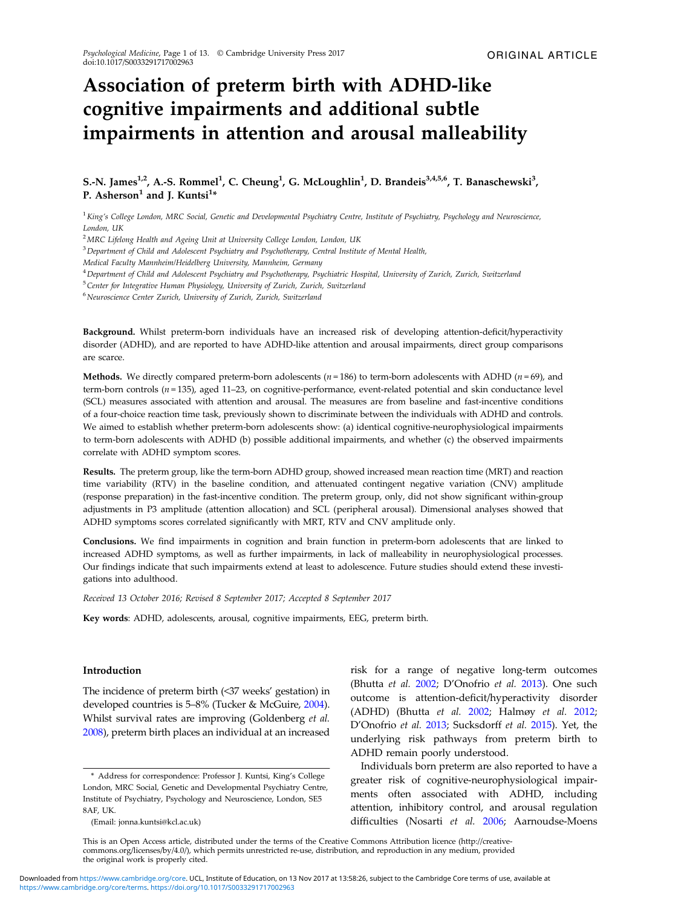# Association of preterm birth with ADHD-like cognitive impairments and additional subtle impairments in attention and arousal malleability

## S.-N. James<sup>1,2</sup>, A.-S. Rommel<sup>1</sup>, C. Cheung<sup>1</sup>, G. McLoughlin<sup>1</sup>, D. Brandeis<sup>3,4,5,6</sup>, T. Banaschewski<sup>3</sup>, P. Asherson $^1$  and J. Kuntsi $^{1\ast}$

<sup>1</sup> King's College London, MRC Social, Genetic and Developmental Psychiatry Centre, Institute of Psychiatry, Psychology and Neuroscience, London, UK

<sup>2</sup> MRC Lifelong Health and Ageing Unit at University College London, London, UK

<sup>3</sup> Department of Child and Adolescent Psychiatry and Psychotherapy, Central Institute of Mental Health,

Medical Faculty Mannheim/Heidelberg University, Mannheim, Germany

<sup>4</sup>Department of Child and Adolescent Psychiatry and Psychotherapy, Psychiatric Hospital, University of Zurich, Zurich, Switzerland

<sup>5</sup>Center for Integrative Human Physiology, University of Zurich, Zurich, Switzerland

<sup>6</sup>Neuroscience Center Zurich, University of Zurich, Zurich, Switzerland

Background. Whilst preterm-born individuals have an increased risk of developing attention-deficit/hyperactivity disorder (ADHD), and are reported to have ADHD-like attention and arousal impairments, direct group comparisons are scarce.

**Methods.** We directly compared preterm-born adolescents ( $n = 186$ ) to term-born adolescents with ADHD ( $n = 69$ ), and term-born controls ( $n = 135$ ), aged 11–23, on cognitive-performance, event-related potential and skin conductance level (SCL) measures associated with attention and arousal. The measures are from baseline and fast-incentive conditions of a four-choice reaction time task, previously shown to discriminate between the individuals with ADHD and controls. We aimed to establish whether preterm-born adolescents show: (a) identical cognitive-neurophysiological impairments to term-born adolescents with ADHD (b) possible additional impairments, and whether (c) the observed impairments correlate with ADHD symptom scores.

Results. The preterm group, like the term-born ADHD group, showed increased mean reaction time (MRT) and reaction time variability (RTV) in the baseline condition, and attenuated contingent negative variation (CNV) amplitude (response preparation) in the fast-incentive condition. The preterm group, only, did not show significant within-group adjustments in P3 amplitude (attention allocation) and SCL (peripheral arousal). Dimensional analyses showed that ADHD symptoms scores correlated significantly with MRT, RTV and CNV amplitude only.

Conclusions. We find impairments in cognition and brain function in preterm-born adolescents that are linked to increased ADHD symptoms, as well as further impairments, in lack of malleability in neurophysiological processes. Our findings indicate that such impairments extend at least to adolescence. Future studies should extend these investigations into adulthood.

Received 13 October 2016; Revised 8 September 2017; Accepted 8 September 2017

Key words: ADHD, adolescents, arousal, cognitive impairments, EEG, preterm birth.

#### Introduction

The incidence of preterm birth (<37 weeks' gestation) in developed countries is 5–8% (Tucker & McGuire, [2004\)](#page-11-0). Whilst survival rates are improving (Goldenberg et al. [2008](#page-11-0)), preterm birth places an individual at an increased risk for a range of negative long-term outcomes (Bhutta et al. [2002;](#page-10-0) D'Onofrio et al. [2013](#page-11-0)). One such outcome is attention-deficit/hyperactivity disorder (ADHD) (Bhutta et al. [2002;](#page-10-0) Halmøy et al. [2012](#page-11-0); D'Onofrio et al. [2013;](#page-11-0) Sucksdorff et al. [2015\)](#page-11-0). Yet, the underlying risk pathways from preterm birth to ADHD remain poorly understood.

Individuals born preterm are also reported to have a greater risk of cognitive-neurophysiological impairments often associated with ADHD, including attention, inhibitory control, and arousal regulation difficulties (Nosarti et al. [2006;](#page-11-0) Aarnoudse-Moens

<sup>\*</sup> Address for correspondence: Professor J. Kuntsi, King's College London, MRC Social, Genetic and Developmental Psychiatry Centre, Institute of Psychiatry, Psychology and Neuroscience, London, SE5 8AF, UK.

<sup>(</sup>Email: [jonna.kuntsi@kcl.ac.uk](mailto:jonna.kuntsi@kcl.ac.uk))

This is an Open Access article, distributed under the terms of the Creative Commons Attribution licence (http://creativecommons.org/licenses/by/4.0/), which permits unrestricted re-use, distribution, and reproduction in any medium, provided the original work is properly cited.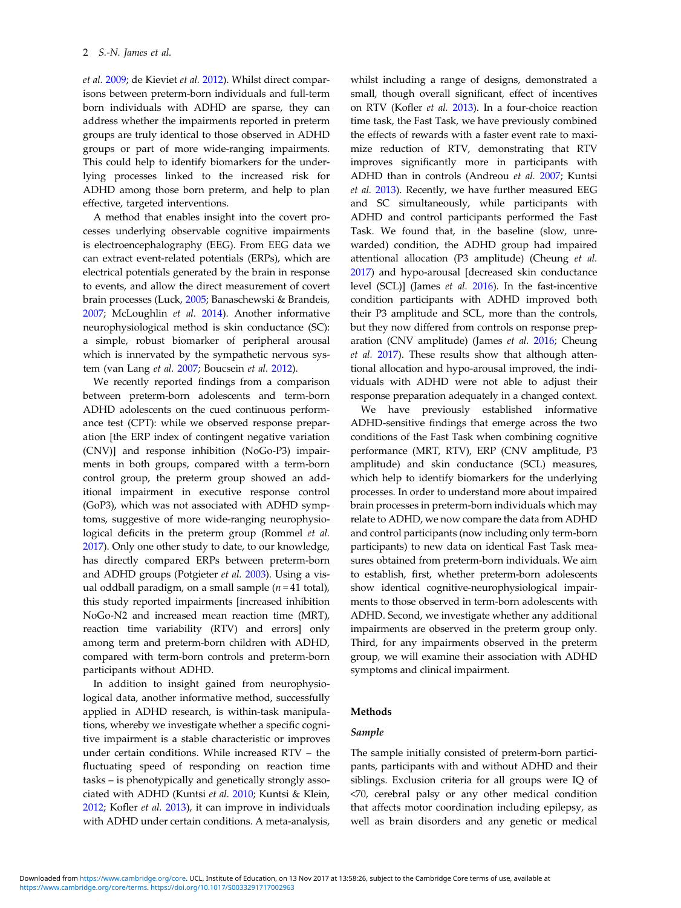et al. [2009](#page-10-0); de Kieviet et al. [2012](#page-11-0)). Whilst direct comparisons between preterm-born individuals and full-term born individuals with ADHD are sparse, they can address whether the impairments reported in preterm groups are truly identical to those observed in ADHD groups or part of more wide-ranging impairments. This could help to identify biomarkers for the underlying processes linked to the increased risk for ADHD among those born preterm, and help to plan effective, targeted interventions.

A method that enables insight into the covert processes underlying observable cognitive impairments is electroencephalography (EEG). From EEG data we can extract event-related potentials (ERPs), which are electrical potentials generated by the brain in response to events, and allow the direct measurement of covert brain processes (Luck, [2005](#page-11-0); Banaschewski & Brandeis, [2007;](#page-10-0) McLoughlin et al. [2014\)](#page-11-0). Another informative neurophysiological method is skin conductance (SC): a simple, robust biomarker of peripheral arousal which is innervated by the sympathetic nervous system (van Lang et al. [2007](#page-11-0); Boucsein et al. [2012\)](#page-10-0).

We recently reported findings from a comparison between preterm-born adolescents and term-born ADHD adolescents on the cued continuous performance test (CPT): while we observed response preparation [the ERP index of contingent negative variation (CNV)] and response inhibition (NoGo-P3) impairments in both groups, compared witth a term-born control group, the preterm group showed an additional impairment in executive response control (GoP3), which was not associated with ADHD symptoms, suggestive of more wide-ranging neurophysiological deficits in the preterm group (Rommel et al. [2017\)](#page-11-0). Only one other study to date, to our knowledge, has directly compared ERPs between preterm-born and ADHD groups (Potgieter et al. [2003\)](#page-11-0). Using a visual oddball paradigm, on a small sample  $(n = 41$  total), this study reported impairments [increased inhibition NoGo-N2 and increased mean reaction time (MRT), reaction time variability (RTV) and errors] only among term and preterm-born children with ADHD, compared with term-born controls and preterm-born participants without ADHD.

In addition to insight gained from neurophysiological data, another informative method, successfully applied in ADHD research, is within-task manipulations, whereby we investigate whether a specific cognitive impairment is a stable characteristic or improves under certain conditions. While increased RTV – the fluctuating speed of responding on reaction time tasks – is phenotypically and genetically strongly associated with ADHD (Kuntsi et al. [2010;](#page-11-0) Kuntsi & Klein, [2012;](#page-11-0) Kofler et al. [2013\)](#page-11-0), it can improve in individuals with ADHD under certain conditions. A meta-analysis,

whilst including a range of designs, demonstrated a small, though overall significant, effect of incentives on RTV (Kofler et al. [2013](#page-11-0)). In a four-choice reaction time task, the Fast Task, we have previously combined the effects of rewards with a faster event rate to maximize reduction of RTV, demonstrating that RTV improves significantly more in participants with ADHD than in controls (Andreou et al. [2007](#page-10-0); Kuntsi et al. [2013\)](#page-11-0). Recently, we have further measured EEG and SC simultaneously, while participants with ADHD and control participants performed the Fast Task. We found that, in the baseline (slow, unrewarded) condition, the ADHD group had impaired attentional allocation (P3 amplitude) (Cheung et al. [2017\)](#page-10-0) and hypo-arousal [decreased skin conductance level (SCL)] (James et al. [2016](#page-11-0)). In the fast-incentive condition participants with ADHD improved both their P3 amplitude and SCL, more than the controls, but they now differed from controls on response preparation (CNV amplitude) (James et al. [2016](#page-11-0); Cheung et al. [2017](#page-10-0)). These results show that although attentional allocation and hypo-arousal improved, the individuals with ADHD were not able to adjust their response preparation adequately in a changed context.

We have previously established informative ADHD-sensitive findings that emerge across the two conditions of the Fast Task when combining cognitive performance (MRT, RTV), ERP (CNV amplitude, P3 amplitude) and skin conductance (SCL) measures, which help to identify biomarkers for the underlying processes. In order to understand more about impaired brain processes in preterm-born individuals which may relate to ADHD, we now compare the data from ADHD and control participants (now including only term-born participants) to new data on identical Fast Task measures obtained from preterm-born individuals. We aim to establish, first, whether preterm-born adolescents show identical cognitive-neurophysiological impairments to those observed in term-born adolescents with ADHD. Second, we investigate whether any additional impairments are observed in the preterm group only. Third, for any impairments observed in the preterm group, we will examine their association with ADHD symptoms and clinical impairment.

## Methods

## Sample

The sample initially consisted of preterm-born participants, participants with and without ADHD and their siblings. Exclusion criteria for all groups were IQ of <70, cerebral palsy or any other medical condition that affects motor coordination including epilepsy, as well as brain disorders and any genetic or medical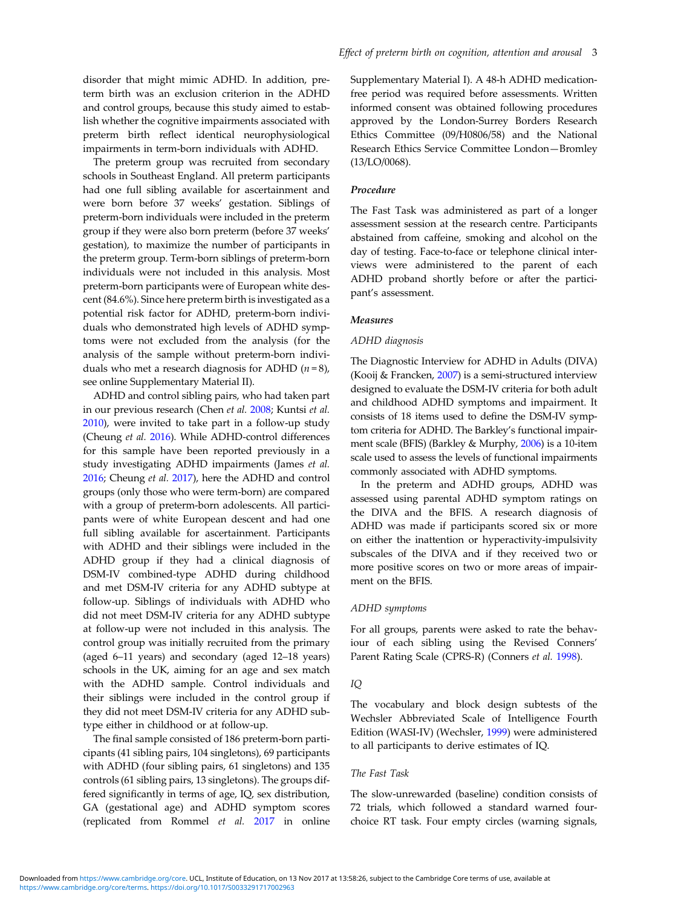disorder that might mimic ADHD. In addition, preterm birth was an exclusion criterion in the ADHD and control groups, because this study aimed to establish whether the cognitive impairments associated with preterm birth reflect identical neurophysiological impairments in term-born individuals with ADHD.

The preterm group was recruited from secondary schools in Southeast England. All preterm participants had one full sibling available for ascertainment and were born before 37 weeks' gestation. Siblings of preterm-born individuals were included in the preterm group if they were also born preterm (before 37 weeks' gestation), to maximize the number of participants in the preterm group. Term-born siblings of preterm-born individuals were not included in this analysis. Most preterm-born participants were of European white descent (84.6%). Since here preterm birth is investigated as a potential risk factor for ADHD, preterm-born individuals who demonstrated high levels of ADHD symptoms were not excluded from the analysis (for the analysis of the sample without preterm-born individuals who met a research diagnosis for ADHD  $(n=8)$ , see online Supplementary Material II).

ADHD and control sibling pairs, who had taken part in our previous research (Chen et al. [2008](#page-10-0); Kuntsi et al. [2010\)](#page-11-0), were invited to take part in a follow-up study (Cheung et al. [2016](#page-10-0)). While ADHD-control differences for this sample have been reported previously in a study investigating ADHD impairments (James et al. [2016;](#page-11-0) Cheung et al. [2017\)](#page-10-0), here the ADHD and control groups (only those who were term-born) are compared with a group of preterm-born adolescents. All participants were of white European descent and had one full sibling available for ascertainment. Participants with ADHD and their siblings were included in the ADHD group if they had a clinical diagnosis of DSM-IV combined-type ADHD during childhood and met DSM-IV criteria for any ADHD subtype at follow-up. Siblings of individuals with ADHD who did not meet DSM-IV criteria for any ADHD subtype at follow-up were not included in this analysis. The control group was initially recruited from the primary (aged 6–11 years) and secondary (aged 12–18 years) schools in the UK, aiming for an age and sex match with the ADHD sample. Control individuals and their siblings were included in the control group if they did not meet DSM-IV criteria for any ADHD subtype either in childhood or at follow-up.

The final sample consisted of 186 preterm-born participants (41 sibling pairs, 104 singletons), 69 participants with ADHD (four sibling pairs, 61 singletons) and 135 controls (61 sibling pairs, 13 singletons). The groups differed significantly in terms of age, IQ, sex distribution, GA (gestational age) and ADHD symptom scores (replicated from Rommel et al. [2017](#page-11-0) in online Supplementary Material I). A 48-h ADHD medicationfree period was required before assessments. Written informed consent was obtained following procedures approved by the London-Surrey Borders Research Ethics Committee (09/H0806/58) and the National Research Ethics Service Committee London—Bromley (13/LO/0068).

#### Procedure

The Fast Task was administered as part of a longer assessment session at the research centre. Participants abstained from caffeine, smoking and alcohol on the day of testing. Face-to-face or telephone clinical interviews were administered to the parent of each ADHD proband shortly before or after the participant's assessment.

### Measures

## ADHD diagnosis

The Diagnostic Interview for ADHD in Adults (DIVA) (Kooij & Francken, [2007\)](#page-11-0) is a semi-structured interview designed to evaluate the DSM-IV criteria for both adult and childhood ADHD symptoms and impairment. It consists of 18 items used to define the DSM-IV symptom criteria for ADHD. The Barkley's functional impairment scale (BFIS) (Barkley & Murphy, [2006](#page-10-0)) is a 10-item scale used to assess the levels of functional impairments commonly associated with ADHD symptoms.

In the preterm and ADHD groups, ADHD was assessed using parental ADHD symptom ratings on the DIVA and the BFIS. A research diagnosis of ADHD was made if participants scored six or more on either the inattention or hyperactivity-impulsivity subscales of the DIVA and if they received two or more positive scores on two or more areas of impairment on the BFIS.

#### ADHD symptoms

For all groups, parents were asked to rate the behaviour of each sibling using the Revised Conners' Parent Rating Scale (CPRS-R) (Conners et al. [1998\)](#page-10-0).

## IQ

The vocabulary and block design subtests of the Wechsler Abbreviated Scale of Intelligence Fourth Edition (WASI-IV) (Wechsler, [1999\)](#page-11-0) were administered to all participants to derive estimates of IQ.

## The Fast Task

The slow-unrewarded (baseline) condition consists of 72 trials, which followed a standard warned fourchoice RT task. Four empty circles (warning signals,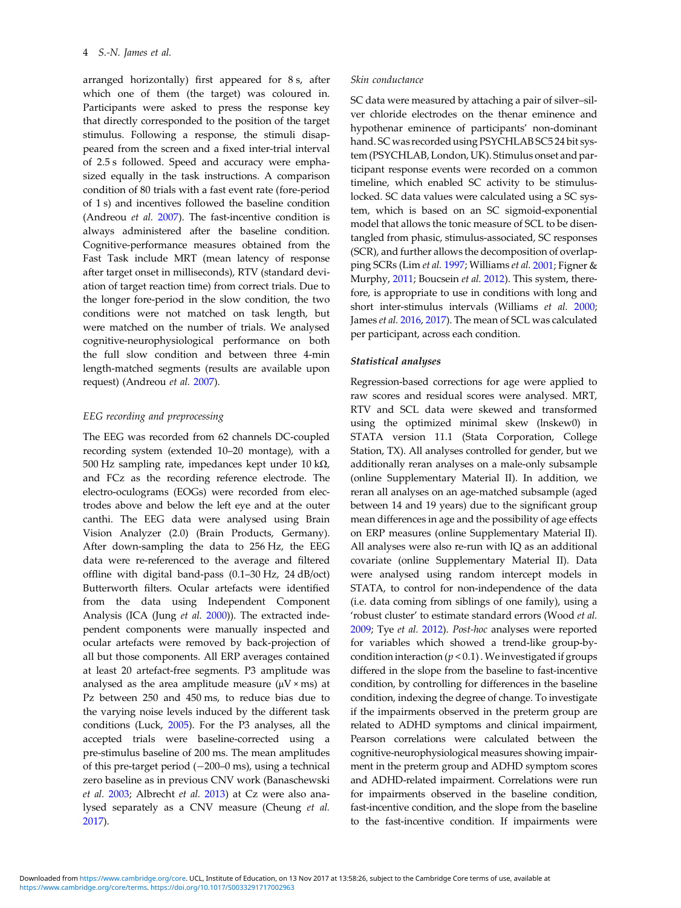arranged horizontally) first appeared for 8 s, after which one of them (the target) was coloured in. Participants were asked to press the response key that directly corresponded to the position of the target stimulus. Following a response, the stimuli disappeared from the screen and a fixed inter-trial interval of 2.5 s followed. Speed and accuracy were emphasized equally in the task instructions. A comparison condition of 80 trials with a fast event rate (fore-period of 1 s) and incentives followed the baseline condition (Andreou et al. [2007](#page-10-0)). The fast-incentive condition is always administered after the baseline condition. Cognitive-performance measures obtained from the Fast Task include MRT (mean latency of response after target onset in milliseconds), RTV (standard deviation of target reaction time) from correct trials. Due to the longer fore-period in the slow condition, the two conditions were not matched on task length, but were matched on the number of trials. We analysed cognitive-neurophysiological performance on both the full slow condition and between three 4-min length-matched segments (results are available upon request) (Andreou et al. [2007](#page-10-0)).

## EEG recording and preprocessing

The EEG was recorded from 62 channels DC-coupled recording system (extended 10–20 montage), with a 500 Hz sampling rate, impedances kept under 10 kΩ, and FCz as the recording reference electrode. The electro-oculograms (EOGs) were recorded from electrodes above and below the left eye and at the outer canthi. The EEG data were analysed using Brain Vision Analyzer (2.0) (Brain Products, Germany). After down-sampling the data to 256 Hz, the EEG data were re-referenced to the average and filtered offline with digital band-pass (0.1–30 Hz, 24 dB/oct) Butterworth filters. Ocular artefacts were identified from the data using Independent Component Analysis (ICA (Jung et al. [2000\)](#page-11-0)). The extracted independent components were manually inspected and ocular artefacts were removed by back-projection of all but those components. All ERP averages contained at least 20 artefact-free segments. P3 amplitude was analysed as the area amplitude measure ( $\mu$ V × ms) at Pz between 250 and 450 ms, to reduce bias due to the varying noise levels induced by the different task conditions (Luck, [2005](#page-11-0)). For the P3 analyses, all the accepted trials were baseline-corrected using a pre-stimulus baseline of 200 ms. The mean amplitudes of this pre-target period (−200–0 ms), using a technical zero baseline as in previous CNV work (Banaschewski et al. [2003](#page-10-0); Albrecht et al. [2013](#page-10-0)) at Cz were also analysed separately as a CNV measure (Cheung et al. [2017\)](#page-10-0).

## Skin conductance

SC data were measured by attaching a pair of silver–silver chloride electrodes on the thenar eminence and hypothenar eminence of participants' non-dominant hand. SC was recorded using PSYCHLAB SC5 24 bit system (PSYCHLAB, London, UK). Stimulus onset and participant response events were recorded on a common timeline, which enabled SC activity to be stimuluslocked. SC data values were calculated using a SC system, which is based on an SC sigmoid-exponential model that allows the tonic measure of SCL to be disentangled from phasic, stimulus-associated, SC responses (SCR), and further allows the decomposition of overlapping SCRs (Lim et al. [1997;](#page-11-0) Williams et al. [2001](#page-12-0); Figner & Murphy, [2011;](#page-11-0) Boucsein et al. [2012](#page-10-0)). This system, therefore, is appropriate to use in conditions with long and short inter-stimulus intervals (Williams et al. [2000](#page-12-0); James et al. [2016](#page-11-0), [2017](#page-11-0)). The mean of SCL was calculated per participant, across each condition.

## Statistical analyses

Regression-based corrections for age were applied to raw scores and residual scores were analysed. MRT, RTV and SCL data were skewed and transformed using the optimized minimal skew (lnskew0) in STATA version 11.1 (Stata Corporation, College Station, TX). All analyses controlled for gender, but we additionally reran analyses on a male-only subsample (online Supplementary Material II). In addition, we reran all analyses on an age-matched subsample (aged between 14 and 19 years) due to the significant group mean differences in age and the possibility of age effects on ERP measures (online Supplementary Material II). All analyses were also re-run with IQ as an additional covariate (online Supplementary Material II). Data were analysed using random intercept models in STATA, to control for non-independence of the data (i.e. data coming from siblings of one family), using a 'robust cluster' to estimate standard errors (Wood et al. [2009;](#page-12-0) Tye et al. [2012](#page-11-0)). Post-hoc analyses were reported for variables which showed a trend-like group-bycondition interaction  $(p < 0.1)$ . We investigated if groups differed in the slope from the baseline to fast-incentive condition, by controlling for differences in the baseline condition, indexing the degree of change. To investigate if the impairments observed in the preterm group are related to ADHD symptoms and clinical impairment, Pearson correlations were calculated between the cognitive-neurophysiological measures showing impairment in the preterm group and ADHD symptom scores and ADHD-related impairment. Correlations were run for impairments observed in the baseline condition, fast-incentive condition, and the slope from the baseline to the fast-incentive condition. If impairments were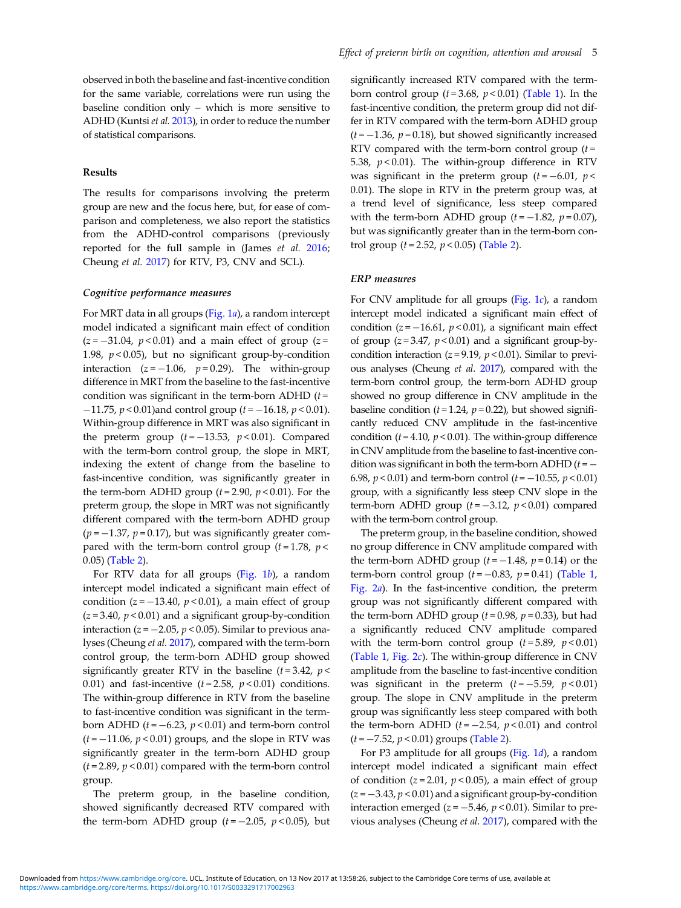observed in both the baseline and fast-incentive condition for the same variable, correlations were run using the baseline condition only – which is more sensitive to ADHD (Kuntsi et al. [2013](#page-11-0)), in order to reduce the number of statistical comparisons.

## Results

The results for comparisons involving the preterm group are new and the focus here, but, for ease of comparison and completeness, we also report the statistics from the ADHD-control comparisons (previously reported for the full sample in (James et al. [2016](#page-11-0); Cheung et al. [2017\)](#page-10-0) for RTV, P3, CNV and SCL).

#### Cognitive performance measures

For MRT data in all groups [\(Fig. 1](#page-5-0)a), a random intercept model indicated a significant main effect of condition  $(z = -31.04, p < 0.01)$  and a main effect of group  $(z =$ 1.98,  $p < 0.05$ ), but no significant group-by-condition interaction  $(z = -1.06, p = 0.29)$ . The within-group difference in MRT from the baseline to the fast-incentive condition was significant in the term-born ADHD  $(t =$  $-11.75$ ,  $p < 0.01$ )and control group ( $t = -16.18$ ,  $p < 0.01$ ). Within-group difference in MRT was also significant in the preterm group ( $t = -13.53$ ,  $p < 0.01$ ). Compared with the term-born control group, the slope in MRT, indexing the extent of change from the baseline to fast-incentive condition, was significantly greater in the term-born ADHD group ( $t = 2.90$ ,  $p < 0.01$ ). For the preterm group, the slope in MRT was not significantly different compared with the term-born ADHD group ( $p = -1.37$ ,  $p = 0.17$ ), but was significantly greater compared with the term-born control group  $(t=1.78, p<$ 0.05) [\(Table 2\)](#page-7-0).

For RTV data for all groups ([Fig. 1](#page-5-0)b), a random intercept model indicated a significant main effect of condition ( $z = -13.40$ ,  $p < 0.01$ ), a main effect of group  $(z = 3.40, p < 0.01)$  and a significant group-by-condition interaction ( $z = -2.05$ ,  $p < 0.05$ ). Similar to previous analyses (Cheung et al. [2017](#page-10-0)), compared with the term-born control group, the term-born ADHD group showed significantly greater RTV in the baseline  $(t=3.42, p<$ 0.01) and fast-incentive ( $t = 2.58$ ,  $p < 0.01$ ) conditions. The within-group difference in RTV from the baseline to fast-incentive condition was significant in the termborn ADHD ( $t = -6.23$ ,  $p < 0.01$ ) and term-born control  $(t = -11.06, p < 0.01)$  groups, and the slope in RTV was significantly greater in the term-born ADHD group  $(t = 2.89, p < 0.01)$  compared with the term-born control group.

The preterm group, in the baseline condition, showed significantly decreased RTV compared with the term-born ADHD group  $(t = -2.05, p < 0.05)$ , but significantly increased RTV compared with the termborn control group  $(t = 3.68, v < 0.01)$  [\(Table 1\)](#page-6-0). In the fast-incentive condition, the preterm group did not differ in RTV compared with the term-born ADHD group  $(t = -1.36, p = 0.18)$ , but showed significantly increased RTV compared with the term-born control group  $(t =$ 5.38,  $p < 0.01$ ). The within-group difference in RTV was significant in the preterm group  $(t = -6.01, p <$ 0.01). The slope in RTV in the preterm group was, at a trend level of significance, less steep compared with the term-born ADHD group  $(t = -1.82, p = 0.07)$ , but was significantly greater than in the term-born control group  $(t = 2.52, p < 0.05)$  [\(Table 2](#page-7-0)).

## ERP measures

For CNV amplitude for all groups [\(Fig. 1](#page-5-0)c), a random intercept model indicated a significant main effect of condition ( $z = -16.61$ ,  $p < 0.01$ ), a significant main effect of group  $(z=3.47, p<0.01)$  and a significant group-bycondition interaction ( $z = 9.19$ ,  $p < 0.01$ ). Similar to previous analyses (Cheung et al. [2017\)](#page-10-0), compared with the term-born control group, the term-born ADHD group showed no group difference in CNV amplitude in the baseline condition ( $t = 1.24$ ,  $p = 0.22$ ), but showed significantly reduced CNV amplitude in the fast-incentive condition ( $t = 4.10$ ,  $p < 0.01$ ). The within-group difference in CNV amplitude from the baseline to fast-incentive condition was significant in both the term-born ADHD ( $t = -$ 6.98,  $p < 0.01$ ) and term-born control ( $t = -10.55$ ,  $p < 0.01$ ) group, with a significantly less steep CNV slope in the term-born ADHD group  $(t = -3.12, p < 0.01)$  compared with the term-born control group.

The preterm group, in the baseline condition, showed no group difference in CNV amplitude compared with the term-born ADHD group ( $t = -1.48$ ,  $p = 0.14$ ) or the term-born control group ( $t = -0.83$ ,  $p = 0.41$ ) [\(Table 1](#page-6-0), [Fig. 2](#page-8-0)a). In the fast-incentive condition, the preterm group was not significantly different compared with the term-born ADHD group ( $t = 0.98$ ,  $p = 0.33$ ), but had a significantly reduced CNV amplitude compared with the term-born control group  $(t=5.89, p<0.01)$ ([Table 1](#page-6-0), [Fig. 2](#page-8-0)c). The within-group difference in CNV amplitude from the baseline to fast-incentive condition was significant in the preterm  $(t = -5.59, p < 0.01)$ group. The slope in CNV amplitude in the preterm group was significantly less steep compared with both the term-born ADHD ( $t = -2.54$ ,  $p < 0.01$ ) and control  $(t = -7.52, p < 0.01)$  groups ([Table 2](#page-7-0)).

For P3 amplitude for all groups ([Fig. 1](#page-5-0)d), a random intercept model indicated a significant main effect of condition ( $z = 2.01$ ,  $p < 0.05$ ), a main effect of group  $(z = -3.43, p < 0.01)$  and a significant group-by-condition interaction emerged ( $z = -5.46$ ,  $p < 0.01$ ). Similar to previous analyses (Cheung et al. [2017](#page-10-0)), compared with the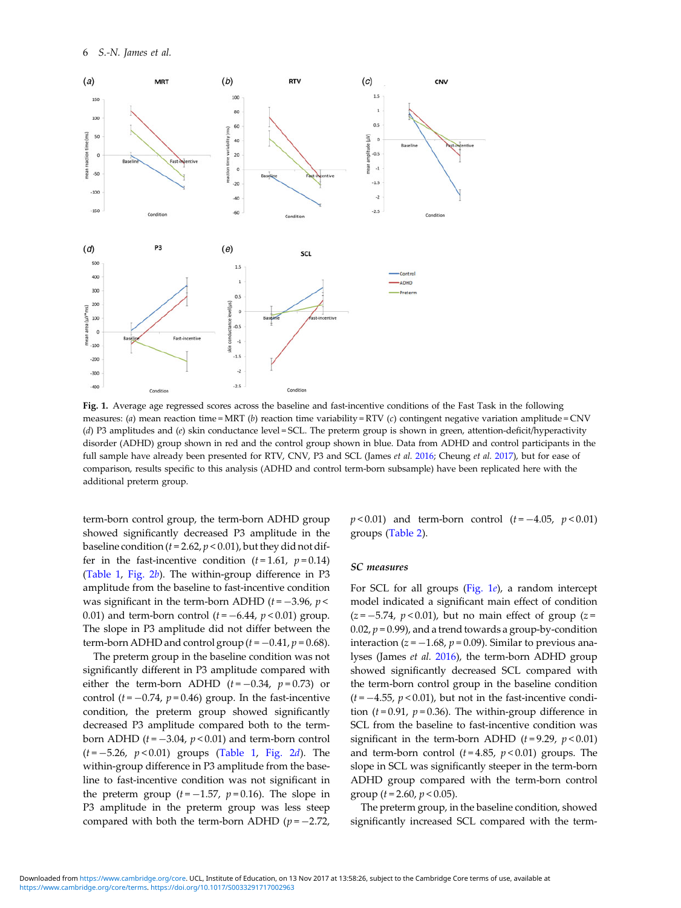<span id="page-5-0"></span>

Fig. 1. Average age regressed scores across the baseline and fast-incentive conditions of the Fast Task in the following measures: (a) mean reaction time = MRT (b) reaction time variability = RTV (c) contingent negative variation amplitude = CNV (d) P3 amplitudes and (e) skin conductance level = SCL. The preterm group is shown in green, attention-deficit/hyperactivity disorder (ADHD) group shown in red and the control group shown in blue. Data from ADHD and control participants in the full sample have already been presented for RTV, CNV, P3 and SCL (James et al. [2016](#page-11-0); Cheung et al. [2017](#page-10-0)), but for ease of comparison, results specific to this analysis (ADHD and control term-born subsample) have been replicated here with the additional preterm group.

term-born control group, the term-born ADHD group showed significantly decreased P3 amplitude in the baseline condition ( $t = 2.62$ ,  $p < 0.01$ ), but they did not differ in the fast-incentive condition  $(t=1.61, p=0.14)$ ([Table 1,](#page-6-0) Fig.  $2b$ ). The within-group difference in P3 amplitude from the baseline to fast-incentive condition was significant in the term-born ADHD ( $t = -3.96$ ,  $p <$ 0.01) and term-born control ( $t = -6.44$ ,  $p < 0.01$ ) group. The slope in P3 amplitude did not differ between the term-born ADHD and control group ( $t = -0.41$ ,  $p = 0.68$ ).

The preterm group in the baseline condition was not significantly different in P3 amplitude compared with either the term-born ADHD ( $t = -0.34$ ,  $p = 0.73$ ) or control ( $t = -0.74$ ,  $p = 0.46$ ) group. In the fast-incentive condition, the preterm group showed significantly decreased P3 amplitude compared both to the termborn ADHD ( $t = -3.04$ ,  $p < 0.01$ ) and term-born control  $(t = -5.26, p < 0.01)$  groups ([Table 1](#page-6-0), [Fig. 2](#page-8-0)d). The within-group difference in P3 amplitude from the baseline to fast-incentive condition was not significant in the preterm group ( $t = -1.57$ ,  $p = 0.16$ ). The slope in P3 amplitude in the preterm group was less steep compared with both the term-born ADHD ( $p = -2.72$ ,

 $p < 0.01$ ) and term-born control ( $t = -4.05$ ,  $p < 0.01$ ) groups [\(Table 2](#page-7-0)).

## SC measures

For SCL for all groups (Fig.  $1e$ ), a random intercept model indicated a significant main effect of condition  $(z = -5.74, p < 0.01)$ , but no main effect of group  $(z =$ 0.02,  $p = 0.99$ ), and a trend towards a group-by-condition interaction ( $z = -1.68$ ,  $p = 0.09$ ). Similar to previous analyses (James et al. [2016](#page-11-0)), the term-born ADHD group showed significantly decreased SCL compared with the term-born control group in the baseline condition  $(t = -4.55, p < 0.01)$ , but not in the fast-incentive condition ( $t = 0.91$ ,  $p = 0.36$ ). The within-group difference in SCL from the baseline to fast-incentive condition was significant in the term-born ADHD ( $t = 9.29$ ,  $p < 0.01$ ) and term-born control ( $t = 4.85$ ,  $p < 0.01$ ) groups. The slope in SCL was significantly steeper in the term-born ADHD group compared with the term-born control group ( $t = 2.60$ ,  $p < 0.05$ ).

The preterm group, in the baseline condition, showed significantly increased SCL compared with the term-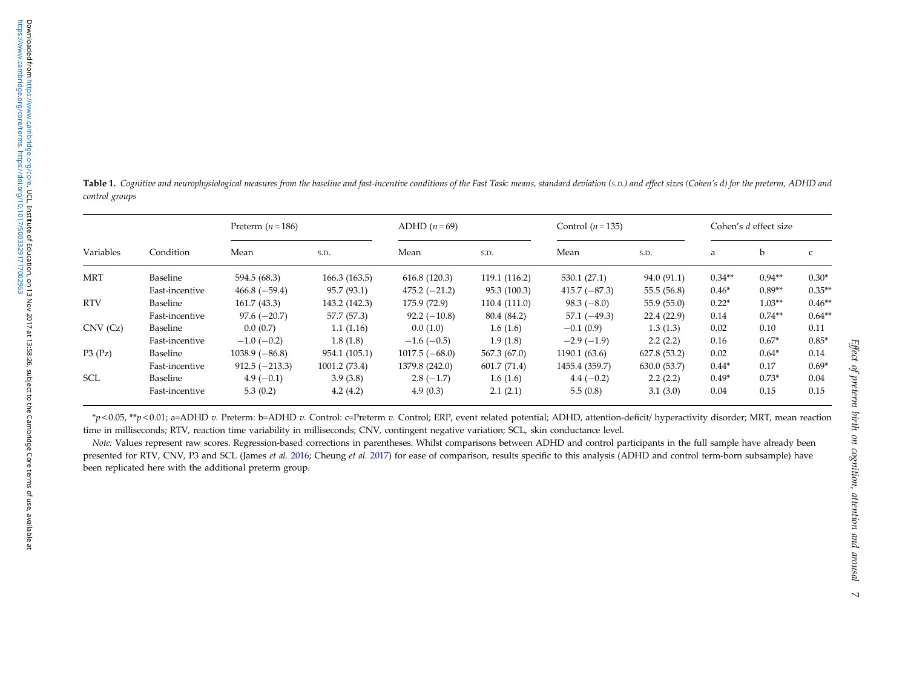| Variables  | Condition      | Preterm $(n=186)$ |               | ADHD $(n=69)$   |               | Control $(n=135)$ |              | Cohen's d effect size |          |              |
|------------|----------------|-------------------|---------------|-----------------|---------------|-------------------|--------------|-----------------------|----------|--------------|
|            |                | Mean              | S.D.          | Mean            | S.D.          | Mean              | S.D.         | a                     | b        | $\mathsf{C}$ |
| <b>MRT</b> | Baseline       | 594.5 (68.3)      | 166.3(163.5)  | 616.8 (120.3)   | 119.1 (116.2) | 530.1(27.1)       | 94.0 (91.1)  | $0.34**$              | $0.94**$ | $0.30*$      |
|            | Fast-incentive | $466.8(-59.4)$    | 95.7 (93.1)   | $475.2(-21.2)$  | 95.3 (100.3)  | $415.7(-87.3)$    | 55.5 (56.8)  | $0.46*$               | $0.89**$ | $0.35**$     |
| <b>RTV</b> | Baseline       | 161.7(43.3)       | 143.2 (142.3) | 175.9 (72.9)    | 110.4 (111.0) | $98.3(-8.0)$      | 55.9(55.0)   | $0.22*$               | $1.03**$ | $0.46**$     |
|            | Fast-incentive | $97.6(-20.7)$     | 57.7 (57.3)   | $92.2(-10.8)$   | 80.4 (84.2)   | $57.1(-49.3)$     | 22.4(22.9)   | 0.14                  | $0.74**$ | $0.64**$     |
| CNV (Cz)   | Baseline       | 0.0(0.7)          | 1.1(1.16)     | 0.0(1.0)        | 1.6(1.6)      | $-0.1(0.9)$       | 1.3(1.3)     | 0.02                  | 0.10     | 0.11         |
|            | Fast-incentive | $-1.0$ (-0.2)     | 1.8(1.8)      | $-1.6(-0.5)$    | 1.9(1.8)      | $-2.9(-1.9)$      | 2.2(2.2)     | 0.16                  | $0.67*$  | $0.85*$      |
| P3(Pz)     | Baseline       | $1038.9(-86.8)$   | 954.1 (105.1) | $1017.5(-68.0)$ | 567.3 (67.0)  | 1190.1 (63.6)     | 627.8 (53.2) | 0.02                  | $0.64*$  | 0.14         |
|            | Fast-incentive | $912.5(-213.3)$   | 1001.2 (73.4) | 1379.8 (242.0)  | 601.7(71.4)   | 1455.4 (359.7)    | 630.0(53.7)  | $0.44*$               | 0.17     | $0.69*$      |
| <b>SCL</b> | Baseline       | $4.9(-0.1)$       | 3.9(3.8)      | $2.8(-1.7)$     | 1.6(1.6)      | $4.4(-0.2)$       | 2.2(2.2)     | $0.49*$               | $0.73*$  | 0.04         |
|            | Fast-incentive | 5.3(0.2)          | 4.2(4.2)      | 4.9(0.3)        | 2.1(2.1)      | 5.5(0.8)          | 3.1(3.0)     | 0.04                  | 0.15     | 0.15         |

<span id="page-6-0"></span>Table 1. Cognitive and neurophysiological measures from the baseline and fast-incentive conditions of the Fast Task: means, standard deviation (S.D.) and effect sizes (Cohen'<sup>s</sup> d) for the preterm, ADHD and control groups

 $*p$  < 0.05,  $**p$  < 0.01; a=ADHD v. Preterm: b=ADHD v. Control: c=Preterm v. Control; ERP, event related potential; ADHD, attention-deficit/ hyperactivity disorder; MRT, mean reaction time in milliseconds; RTV, reaction time variability in milliseconds; CNV, contingent negative variation; SCL, skin conductance level.

Note: Values represent raw scores. Regression-based corrections in parentheses. Whilst comparisons between ADHD and control participants in the full sample have already been presented for RTV, CNV, P3 and SCL (James et al. [2016](#page-11-0); Cheung et al. [2017](#page-10-0)) for ease of comparison, results specific to this analysis (ADHD and control term-born subsample) have been replicated here with the additional preterm group.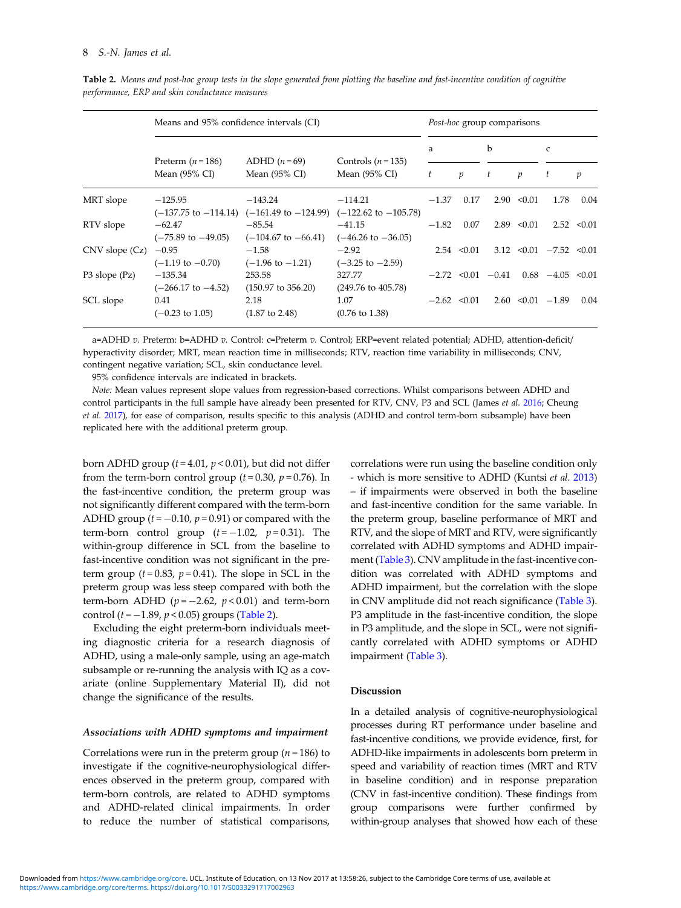|                    | Means and 95% confidence intervals (CI)                             |                                                                                                             |                                                                    |         | <i>Post-hoc</i> group comparisons |                        |                 |                                |                  |  |
|--------------------|---------------------------------------------------------------------|-------------------------------------------------------------------------------------------------------------|--------------------------------------------------------------------|---------|-----------------------------------|------------------------|-----------------|--------------------------------|------------------|--|
|                    |                                                                     |                                                                                                             |                                                                    | a       |                                   | b                      |                 | $\mathbf{C}$                   |                  |  |
|                    | Preterm $(n=186)$<br>Mean $(95\%$ CI)                               | ADHD $(n=69)$<br>Mean $(95\% \text{ CI})$                                                                   | Controls $(n=135)$<br>Mean $(95\%$ CI)                             | t       | $\mathcal{V}$                     | t                      | $\mathfrak{p}$  | $\boldsymbol{t}$               | $\boldsymbol{p}$ |  |
| MRT slope          | $-125.95$                                                           | $-143.24$                                                                                                   | $-114.21$                                                          | $-1.37$ | 0.17                              |                        | $2.90 \le 0.01$ | 1.78                           | 0.04             |  |
| RTV slope          | $-62.47$                                                            | $(-137.75 \text{ to } -114.14)$ $(-161.49 \text{ to } -124.99)$ $(-122.62 \text{ to } -105.78)$<br>$-85.54$ | $-41.15$                                                           | $-1.82$ | 0.07                              |                        | $2.89 \le 0.01$ |                                | $2.52 \le 0.01$  |  |
| $CNV$ slope $(Cz)$ | (-75.89 to -49.05)<br>$-0.95$                                       | $(-104.67 \text{ to } -66.41)$<br>$-1.58$                                                                   | $(-46.26 \text{ to } -36.05)$<br>$-2.92$                           |         | $2.54 \le 0.01$                   |                        |                 | $3.12 \le 0.01 -7.52 \le 0.01$ |                  |  |
| $P3$ slope $(Pz)$  | $(-1.19 \text{ to } -0.70)$<br>$-135.34$                            | $(-1.96 \text{ to } -1.21)$<br>253.58                                                                       | $(-3.25 \text{ to } -2.59)$<br>327.77                              |         |                                   | $-2.72 \le 0.01 -0.41$ |                 | $0.68$ $-4.05$ $\leq 0.01$     |                  |  |
| SCL slope          | $(-266.17 \text{ to } -4.52)$<br>0.41<br>$(-0.23 \text{ to } 1.05)$ | $(150.97 \text{ to } 356.20)$<br>2.18<br>$(1.87 \text{ to } 2.48)$                                          | $(249.76 \text{ to } 405.78)$<br>1.07<br>$(0.76 \text{ to } 1.38)$ |         | $-2.62 \le 0.01$                  |                        |                 | $2.60 \le 0.01 -1.89$          | 0.04             |  |

<span id="page-7-0"></span>Table 2. Means and post-hoc group tests in the slope generated from plotting the baseline and fast-incentive condition of cognitive performance, ERP and skin conductance measures

a=ADHD v. Preterm: b=ADHD v. Control: c=Preterm v. Control; ERP=event related potential; ADHD, attention-deficit/ hyperactivity disorder; MRT, mean reaction time in milliseconds; RTV, reaction time variability in milliseconds; CNV, contingent negative variation; SCL, skin conductance level.

95% confidence intervals are indicated in brackets.

Note: Mean values represent slope values from regression-based corrections. Whilst comparisons between ADHD and control participants in the full sample have already been presented for RTV, CNV, P3 and SCL (James et al. [2016;](#page-11-0) Cheung et al. [2017](#page-10-0)), for ease of comparison, results specific to this analysis (ADHD and control term-born subsample) have been replicated here with the additional preterm group.

born ADHD group ( $t = 4.01$ ,  $p < 0.01$ ), but did not differ from the term-born control group ( $t = 0.30$ ,  $p = 0.76$ ). In the fast-incentive condition, the preterm group was not significantly different compared with the term-born ADHD group ( $t = -0.10$ ,  $p = 0.91$ ) or compared with the term-born control group  $(t = -1.02, p = 0.31)$ . The within-group difference in SCL from the baseline to fast-incentive condition was not significant in the preterm group ( $t = 0.83$ ,  $p = 0.41$ ). The slope in SCL in the preterm group was less steep compared with both the term-born ADHD ( $p = -2.62$ ,  $p < 0.01$ ) and term-born control ( $t = -1.89$ ,  $p < 0.05$ ) groups (Table 2).

Excluding the eight preterm-born individuals meeting diagnostic criteria for a research diagnosis of ADHD, using a male-only sample, using an age-match subsample or re-running the analysis with IQ as a covariate (online Supplementary Material II), did not change the significance of the results.

## Associations with ADHD symptoms and impairment

Correlations were run in the preterm group ( $n = 186$ ) to investigate if the cognitive-neurophysiological differences observed in the preterm group, compared with term-born controls, are related to ADHD symptoms and ADHD-related clinical impairments. In order to reduce the number of statistical comparisons,

correlations were run using the baseline condition only - which is more sensitive to ADHD (Kuntsi et al. [2013\)](#page-11-0) – if impairments were observed in both the baseline and fast-incentive condition for the same variable. In the preterm group, baseline performance of MRT and RTV, and the slope of MRT and RTV, were significantly correlated with ADHD symptoms and ADHD impairment [\(Table 3\)](#page-9-0). CNV amplitude in the fast-incentive condition was correlated with ADHD symptoms and ADHD impairment, but the correlation with the slope in CNV amplitude did not reach significance ([Table 3](#page-9-0)). P3 amplitude in the fast-incentive condition, the slope in P3 amplitude, and the slope in SCL, were not significantly correlated with ADHD symptoms or ADHD impairment [\(Table 3\)](#page-9-0).

### Discussion

In a detailed analysis of cognitive-neurophysiological processes during RT performance under baseline and fast-incentive conditions, we provide evidence, first, for ADHD-like impairments in adolescents born preterm in speed and variability of reaction times (MRT and RTV in baseline condition) and in response preparation (CNV in fast-incentive condition). These findings from group comparisons were further confirmed by within-group analyses that showed how each of these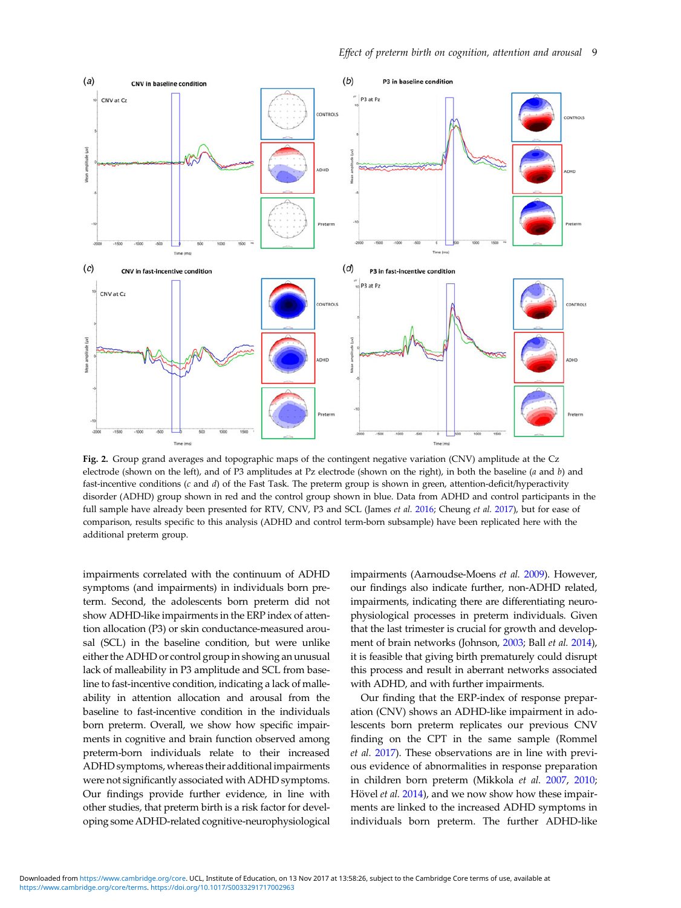<span id="page-8-0"></span>

Fig. 2. Group grand averages and topographic maps of the contingent negative variation (CNV) amplitude at the Cz electrode (shown on the left), and of P3 amplitudes at Pz electrode (shown on the right), in both the baseline (a and b) and fast-incentive conditions ( $c$  and  $d$ ) of the Fast Task. The preterm group is shown in green, attention-deficit/hyperactivity disorder (ADHD) group shown in red and the control group shown in blue. Data from ADHD and control participants in the full sample have already been presented for RTV, CNV, P3 and SCL (James et al. [2016](#page-11-0); Cheung et al. [2017](#page-10-0)), but for ease of comparison, results specific to this analysis (ADHD and control term-born subsample) have been replicated here with the additional preterm group.

impairments correlated with the continuum of ADHD symptoms (and impairments) in individuals born preterm. Second, the adolescents born preterm did not show ADHD-like impairments in the ERP index of attention allocation (P3) or skin conductance-measured arousal (SCL) in the baseline condition, but were unlike either the ADHD or control group in showing an unusual lack of malleability in P3 amplitude and SCL from baseline to fast-incentive condition, indicating a lack of malleability in attention allocation and arousal from the baseline to fast-incentive condition in the individuals born preterm. Overall, we show how specific impairments in cognitive and brain function observed among preterm-born individuals relate to their increased ADHD symptoms, whereas their additional impairments were not significantly associated with ADHD symptoms. Our findings provide further evidence, in line with other studies, that preterm birth is a risk factor for developing some ADHD-related cognitive-neurophysiological impairments (Aarnoudse-Moens et al. [2009](#page-10-0)). However, our findings also indicate further, non-ADHD related, impairments, indicating there are differentiating neurophysiological processes in preterm individuals. Given that the last trimester is crucial for growth and development of brain networks (Johnson, [2003;](#page-11-0) Ball et al. [2014\)](#page-10-0), it is feasible that giving birth prematurely could disrupt this process and result in aberrant networks associated with ADHD, and with further impairments.

Our finding that the ERP-index of response preparation (CNV) shows an ADHD-like impairment in adolescents born preterm replicates our previous CNV finding on the CPT in the same sample (Rommel et al. [2017](#page-11-0)). These observations are in line with previous evidence of abnormalities in response preparation in children born preterm (Mikkola et al. [2007,](#page-11-0) [2010](#page-11-0); Hövel et al. [2014](#page-11-0)), and we now show how these impairments are linked to the increased ADHD symptoms in individuals born preterm. The further ADHD-like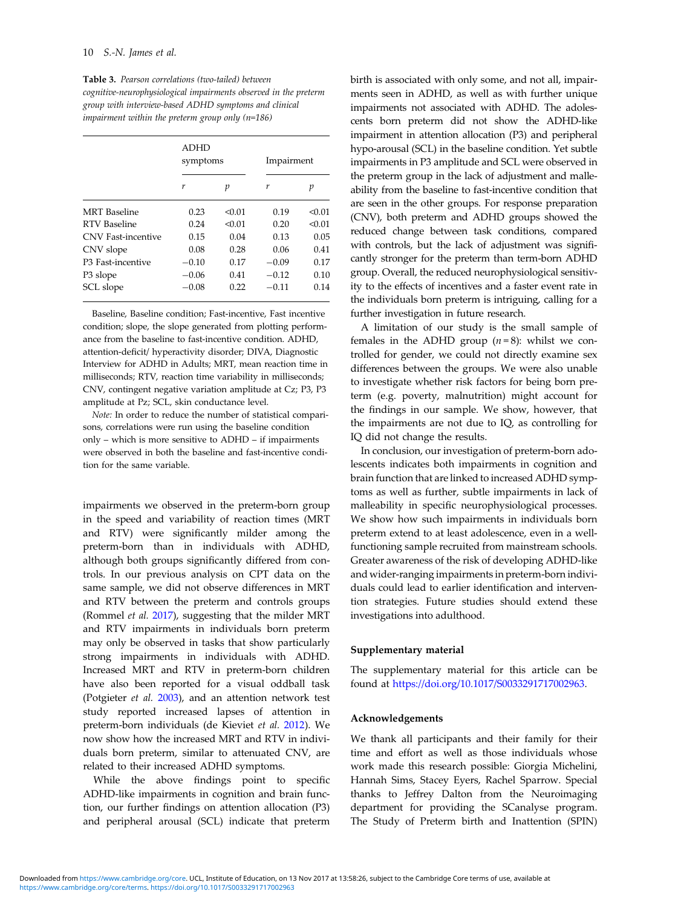<span id="page-9-0"></span>Table 3. Pearson correlations (two-tailed) between cognitive-neurophysiological impairments observed in the preterm group with interview-based ADHD symptoms and clinical impairment within the preterm group only (n=186)

|                               | <b>ADHD</b><br>symptoms |        | Impairment |        |  |
|-------------------------------|-------------------------|--------|------------|--------|--|
|                               | r                       | р      | r          | р      |  |
| <b>MRT</b> Baseline           | 0.23                    | < 0.01 | 0.19       | < 0.01 |  |
| RTV Baseline                  | 0.24                    | < 0.01 | 0.20       | < 0.01 |  |
| CNV Fast-incentive            | 0.15                    | 0.04   | 0.13       | 0.05   |  |
| CNV slope                     | 0.08                    | 0.28   | 0.06       | 0.41   |  |
| P <sub>3</sub> Fast-incentive | $-0.10$                 | 0.17   | $-0.09$    | 0.17   |  |
| P <sub>3</sub> slope          | $-0.06$                 | 0.41   | $-0.12$    | 0.10   |  |
| SCL slope                     | $-0.08$                 | 0.22   | $-0.11$    | 0.14   |  |

Baseline, Baseline condition; Fast-incentive, Fast incentive condition; slope, the slope generated from plotting performance from the baseline to fast-incentive condition. ADHD, attention-deficit/ hyperactivity disorder; DIVA, Diagnostic Interview for ADHD in Adults; MRT, mean reaction time in milliseconds; RTV, reaction time variability in milliseconds; CNV, contingent negative variation amplitude at Cz; P3, P3 amplitude at Pz; SCL, skin conductance level.

Note: In order to reduce the number of statistical comparisons, correlations were run using the baseline condition only – which is more sensitive to ADHD – if impairments were observed in both the baseline and fast-incentive condition for the same variable.

impairments we observed in the preterm-born group in the speed and variability of reaction times (MRT and RTV) were significantly milder among the preterm-born than in individuals with ADHD, although both groups significantly differed from controls. In our previous analysis on CPT data on the same sample, we did not observe differences in MRT and RTV between the preterm and controls groups (Rommel et al. [2017](#page-11-0)), suggesting that the milder MRT and RTV impairments in individuals born preterm may only be observed in tasks that show particularly strong impairments in individuals with ADHD. Increased MRT and RTV in preterm-born children have also been reported for a visual oddball task (Potgieter et al. [2003](#page-11-0)), and an attention network test study reported increased lapses of attention in preterm-born individuals (de Kieviet et al. [2012\)](#page-11-0). We now show how the increased MRT and RTV in individuals born preterm, similar to attenuated CNV, are related to their increased ADHD symptoms.

While the above findings point to specific ADHD-like impairments in cognition and brain function, our further findings on attention allocation (P3) and peripheral arousal (SCL) indicate that preterm birth is associated with only some, and not all, impairments seen in ADHD, as well as with further unique impairments not associated with ADHD. The adolescents born preterm did not show the ADHD-like impairment in attention allocation (P3) and peripheral hypo-arousal (SCL) in the baseline condition. Yet subtle impairments in P3 amplitude and SCL were observed in the preterm group in the lack of adjustment and malleability from the baseline to fast-incentive condition that are seen in the other groups. For response preparation (CNV), both preterm and ADHD groups showed the reduced change between task conditions, compared with controls, but the lack of adjustment was significantly stronger for the preterm than term-born ADHD group. Overall, the reduced neurophysiological sensitivity to the effects of incentives and a faster event rate in the individuals born preterm is intriguing, calling for a further investigation in future research.

A limitation of our study is the small sample of females in the ADHD group  $(n=8)$ : whilst we controlled for gender, we could not directly examine sex differences between the groups. We were also unable to investigate whether risk factors for being born preterm (e.g. poverty, malnutrition) might account for the findings in our sample. We show, however, that the impairments are not due to IQ, as controlling for IQ did not change the results.

In conclusion, our investigation of preterm-born adolescents indicates both impairments in cognition and brain function that are linked to increased ADHD symptoms as well as further, subtle impairments in lack of malleability in specific neurophysiological processes. We show how such impairments in individuals born preterm extend to at least adolescence, even in a wellfunctioning sample recruited from mainstream schools. Greater awareness of the risk of developing ADHD-like and wider-ranging impairments in preterm-born individuals could lead to earlier identification and intervention strategies. Future studies should extend these investigations into adulthood.

#### Supplementary material

The supplementary material for this article can be found at <https://doi.org/10.1017/S0033291717002963>.

#### Acknowledgements

We thank all participants and their family for their time and effort as well as those individuals whose work made this research possible: Giorgia Michelini, Hannah Sims, Stacey Eyers, Rachel Sparrow. Special thanks to Jeffrey Dalton from the Neuroimaging department for providing the SCanalyse program. The Study of Preterm birth and Inattention (SPIN)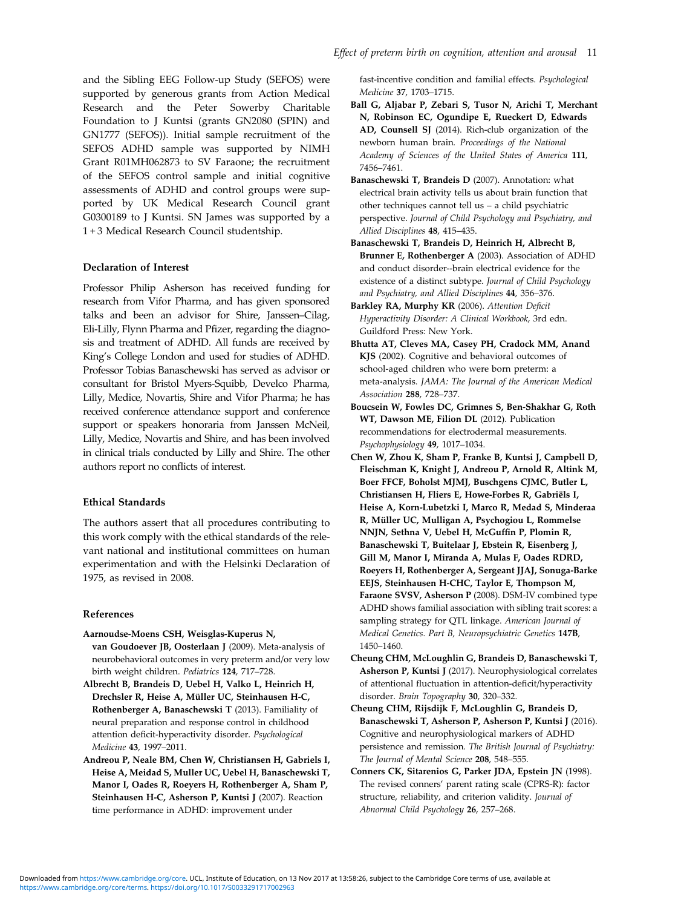<span id="page-10-0"></span>and the Sibling EEG Follow-up Study (SEFOS) were supported by generous grants from Action Medical Research and the Peter Sowerby Charitable Foundation to J Kuntsi (grants GN2080 (SPIN) and GN1777 (SEFOS)). Initial sample recruitment of the SEFOS ADHD sample was supported by NIMH Grant R01MH062873 to SV Faraone; the recruitment of the SEFOS control sample and initial cognitive assessments of ADHD and control groups were supported by UK Medical Research Council grant G0300189 to J Kuntsi. SN James was supported by a 1 + 3 Medical Research Council studentship.

## Declaration of Interest

Professor Philip Asherson has received funding for research from Vifor Pharma, and has given sponsored talks and been an advisor for Shire, Janssen–Cilag, Eli-Lilly, Flynn Pharma and Pfizer, regarding the diagnosis and treatment of ADHD. All funds are received by King's College London and used for studies of ADHD. Professor Tobias Banaschewski has served as advisor or consultant for Bristol Myers-Squibb, Develco Pharma, Lilly, Medice, Novartis, Shire and Vifor Pharma; he has received conference attendance support and conference support or speakers honoraria from Janssen McNeil, Lilly, Medice, Novartis and Shire, and has been involved in clinical trials conducted by Lilly and Shire. The other authors report no conflicts of interest.

## Ethical Standards

The authors assert that all procedures contributing to this work comply with the ethical standards of the relevant national and institutional committees on human experimentation and with the Helsinki Declaration of 1975, as revised in 2008.

## References

Aarnoudse-Moens CSH, Weisglas-Kuperus N,

van Goudoever JB, Oosterlaan J (2009). Meta-analysis of neurobehavioral outcomes in very preterm and/or very low birth weight children. Pediatrics 124, 717–728.

Albrecht B, Brandeis D, Uebel H, Valko L, Heinrich H, Drechsler R, Heise A, Müller UC, Steinhausen H-C, Rothenberger A, Banaschewski T (2013). Familiality of neural preparation and response control in childhood attention deficit-hyperactivity disorder. Psychological Medicine 43, 1997–2011.

Andreou P, Neale BM, Chen W, Christiansen H, Gabriels I, Heise A, Meidad S, Muller UC, Uebel H, Banaschewski T, Manor I, Oades R, Roeyers H, Rothenberger A, Sham P, Steinhausen H-C, Asherson P, Kuntsi J (2007). Reaction time performance in ADHD: improvement under

fast-incentive condition and familial effects. Psychological Medicine 37, 1703–1715.

- Ball G, Aljabar P, Zebari S, Tusor N, Arichi T, Merchant N, Robinson EC, Ogundipe E, Rueckert D, Edwards AD, Counsell SJ (2014). Rich-club organization of the newborn human brain. Proceedings of the National Academy of Sciences of the United States of America 111, 7456–7461.
- Banaschewski T, Brandeis D (2007). Annotation: what electrical brain activity tells us about brain function that other techniques cannot tell us – a child psychiatric perspective. Journal of Child Psychology and Psychiatry, and Allied Disciplines 48, 415–435.
- Banaschewski T, Brandeis D, Heinrich H, Albrecht B, Brunner E, Rothenberger A (2003). Association of ADHD and conduct disorder--brain electrical evidence for the existence of a distinct subtype. Journal of Child Psychology and Psychiatry, and Allied Disciplines 44, 356–376.
- Barkley RA, Murphy KR (2006). Attention Deficit Hyperactivity Disorder: A Clinical Workbook, 3rd edn. Guildford Press: New York.
- Bhutta AT, Cleves MA, Casey PH, Cradock MM, Anand KJS (2002). Cognitive and behavioral outcomes of school-aged children who were born preterm: a meta-analysis. JAMA: The Journal of the American Medical Association 288, 728–737.
- Boucsein W, Fowles DC, Grimnes S, Ben-Shakhar G, Roth WT, Dawson ME, Filion DL (2012). Publication recommendations for electrodermal measurements. Psychophysiology 49, 1017–1034.
- Chen W, Zhou K, Sham P, Franke B, Kuntsi J, Campbell D, Fleischman K, Knight J, Andreou P, Arnold R, Altink M, Boer FFCF, Boholst MJMJ, Buschgens CJMC, Butler L, Christiansen H, Fliers E, Howe-Forbes R, Gabriëls I, Heise A, Korn-Lubetzki I, Marco R, Medad S, Minderaa R, Müller UC, Mulligan A, Psychogiou L, Rommelse NNJN, Sethna V, Uebel H, McGuffin P, Plomin R, Banaschewski T, Buitelaar J, Ebstein R, Eisenberg J, Gill M, Manor I, Miranda A, Mulas F, Oades RDRD, Roeyers H, Rothenberger A, Sergeant JJAJ, Sonuga-Barke EEJS, Steinhausen H-CHC, Taylor E, Thompson M, Faraone SVSV, Asherson P (2008). DSM-IV combined type ADHD shows familial association with sibling trait scores: a sampling strategy for QTL linkage. American Journal of Medical Genetics. Part B, Neuropsychiatric Genetics 147B, 1450–1460.
- Cheung CHM, McLoughlin G, Brandeis D, Banaschewski T, Asherson P, Kuntsi J (2017). Neurophysiological correlates of attentional fluctuation in attention-deficit/hyperactivity disorder. Brain Topography 30, 320–332.
- Cheung CHM, Rijsdijk F, McLoughlin G, Brandeis D, Banaschewski T, Asherson P, Asherson P, Kuntsi J (2016). Cognitive and neurophysiological markers of ADHD persistence and remission. The British Journal of Psychiatry: The Journal of Mental Science 208, 548–555.
- Conners CK, Sitarenios G, Parker JDA, Epstein JN (1998). The revised conners' parent rating scale (CPRS-R): factor structure, reliability, and criterion validity. Journal of Abnormal Child Psychology 26, 257–268.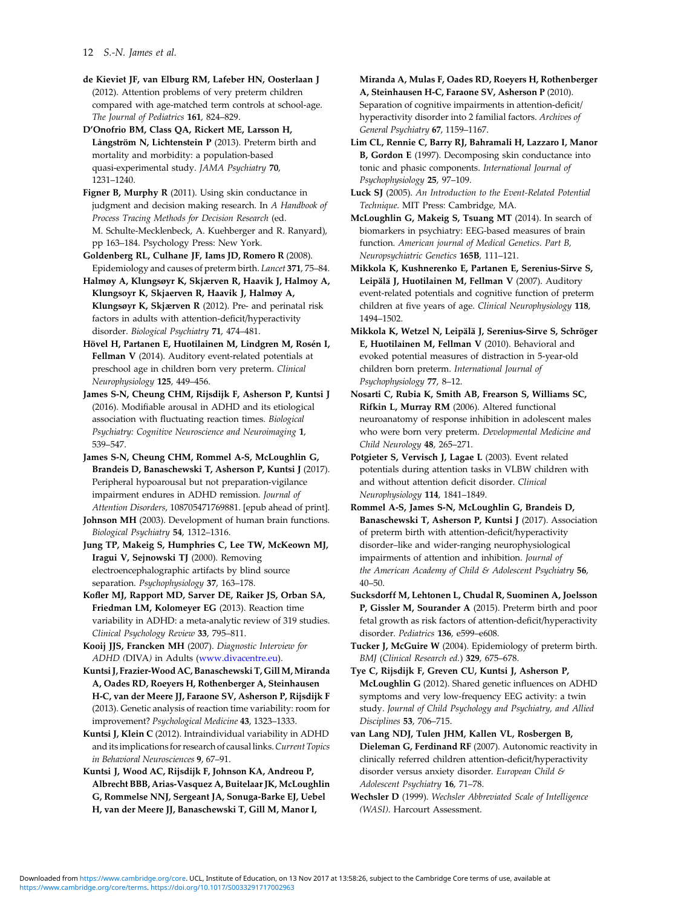## <span id="page-11-0"></span>12 S.-N. James et al.

de Kieviet JF, van Elburg RM, Lafeber HN, Oosterlaan J (2012). Attention problems of very preterm children compared with age-matched term controls at school-age. The Journal of Pediatrics 161, 824–829.

D'Onofrio BM, Class QA, Rickert ME, Larsson H, Långström N, Lichtenstein P (2013). Preterm birth and mortality and morbidity: a population-based quasi-experimental study. JAMA Psychiatry 70, 1231–1240.

Figner B, Murphy R (2011). Using skin conductance in judgment and decision making research. In A Handbook of Process Tracing Methods for Decision Research (ed. M. Schulte-Mecklenbeck, A. Kuehberger and R. Ranyard), pp 163–184. Psychology Press: New York.

Goldenberg RL, Culhane JF, Iams JD, Romero R (2008). Epidemiology and causes of preterm birth. Lancet 371, 75–84. Halmøy A, Klungsøyr K, Skjærven R, Haavik J, Halmoy A, Klungsoyr K, Skjaerven R, Haavik J, Halmøy A,

Klungsøyr K, Skjærven R (2012). Pre- and perinatal risk factors in adults with attention-deficit/hyperactivity disorder. Biological Psychiatry 71, 474–481.

Hövel H, Partanen E, Huotilainen M, Lindgren M, Rosén I, Fellman V (2014). Auditory event-related potentials at preschool age in children born very preterm. Clinical Neurophysiology 125, 449–456.

James S-N, Cheung CHM, Rijsdijk F, Asherson P, Kuntsi J (2016). Modifiable arousal in ADHD and its etiological association with fluctuating reaction times. Biological Psychiatry: Cognitive Neuroscience and Neuroimaging 1, 539–547.

James S-N, Cheung CHM, Rommel A-S, McLoughlin G, Brandeis D, Banaschewski T, Asherson P, Kuntsi J (2017). Peripheral hypoarousal but not preparation-vigilance impairment endures in ADHD remission. Journal of Attention Disorders, 108705471769881. [epub ahead of print].

Johnson MH (2003). Development of human brain functions. Biological Psychiatry 54, 1312–1316.

Jung TP, Makeig S, Humphries C, Lee TW, McKeown MJ, Iragui V, Sejnowski TJ (2000). Removing electroencephalographic artifacts by blind source separation. Psychophysiology 37, 163–178.

Kofler MJ, Rapport MD, Sarver DE, Raiker JS, Orban SA, Friedman LM, Kolomeyer EG (2013). Reaction time variability in ADHD: a meta-analytic review of 319 studies. Clinical Psychology Review 33, 795–811.

Kooij JJS, Francken MH (2007). Diagnostic Interview for ADHD (DIVA) in Adults [\(www.divacentre.eu\)](http://www.divacentre.eu).

Kuntsi J, Frazier-Wood AC, Banaschewski T, Gill M, Miranda A, Oades RD, Roeyers H, Rothenberger A, Steinhausen H-C, van der Meere JJ, Faraone SV, Asherson P, Rijsdijk F (2013). Genetic analysis of reaction time variability: room for improvement? Psychological Medicine 43, 1323–1333.

Kuntsi J, Klein C (2012). Intraindividual variability in ADHD and its implications for research of causal links.Current Topics in Behavioral Neurosciences 9, 67–91.

Kuntsi J, Wood AC, Rijsdijk F, Johnson KA, Andreou P, Albrecht BBB, Arias-Vasquez A, Buitelaar JK, McLoughlin G, Rommelse NNJ, Sergeant JA, Sonuga-Barke EJ, Uebel H, van der Meere JJ, Banaschewski T, Gill M, Manor I,

Miranda A, Mulas F, Oades RD, Roeyers H, Rothenberger A, Steinhausen H-C, Faraone SV, Asherson P (2010). Separation of cognitive impairments in attention-deficit/ hyperactivity disorder into 2 familial factors. Archives of General Psychiatry 67, 1159–1167.

Lim CL, Rennie C, Barry RJ, Bahramali H, Lazzaro I, Manor B, Gordon E (1997). Decomposing skin conductance into tonic and phasic components. International Journal of Psychophysiology 25, 97–109.

Luck SJ (2005). An Introduction to the Event-Related Potential Technique. MIT Press: Cambridge, MA.

McLoughlin G, Makeig S, Tsuang MT (2014). In search of biomarkers in psychiatry: EEG-based measures of brain function. American journal of Medical Genetics. Part B, Neuropsychiatric Genetics 165B, 111–121.

Mikkola K, Kushnerenko E, Partanen E, Serenius-Sirve S, Leipälä J, Huotilainen M, Fellman V (2007). Auditory event-related potentials and cognitive function of preterm children at five years of age. Clinical Neurophysiology 118, 1494–1502.

Mikkola K, Wetzel N, Leipälä J, Serenius-Sirve S, Schröger E, Huotilainen M, Fellman V (2010). Behavioral and evoked potential measures of distraction in 5-year-old children born preterm. International Journal of Psychophysiology 77, 8–12.

Nosarti C, Rubia K, Smith AB, Frearson S, Williams SC, Rifkin L, Murray RM (2006). Altered functional neuroanatomy of response inhibition in adolescent males who were born very preterm. Developmental Medicine and Child Neurology 48, 265–271.

Potgieter S, Vervisch J, Lagae L (2003). Event related potentials during attention tasks in VLBW children with and without attention deficit disorder. Clinical Neurophysiology 114, 1841–1849.

Rommel A-S, James S-N, McLoughlin G, Brandeis D, Banaschewski T, Asherson P, Kuntsi J (2017). Association of preterm birth with attention-deficit/hyperactivity disorder–like and wider-ranging neurophysiological impairments of attention and inhibition. Journal of the American Academy of Child & Adolescent Psychiatry 56, 40–50.

Sucksdorff M, Lehtonen L, Chudal R, Suominen A, Joelsson P, Gissler M, Sourander A (2015). Preterm birth and poor fetal growth as risk factors of attention-deficit/hyperactivity disorder. Pediatrics 136, e599–e608.

Tucker J, McGuire W (2004). Epidemiology of preterm birth. BMJ (Clinical Research ed.) 329, 675–678.

Tye C, Rijsdijk F, Greven CU, Kuntsi J, Asherson P, McLoughlin G (2012). Shared genetic influences on ADHD symptoms and very low-frequency EEG activity: a twin study. Journal of Child Psychology and Psychiatry, and Allied Disciplines 53, 706–715.

van Lang NDJ, Tulen JHM, Kallen VL, Rosbergen B, Dieleman G, Ferdinand RF (2007). Autonomic reactivity in clinically referred children attention-deficit/hyperactivity disorder versus anxiety disorder. European Child & Adolescent Psychiatry 16, 71–78.

Wechsler D (1999). Wechsler Abbreviated Scale of Intelligence (WASI). Harcourt Assessment.